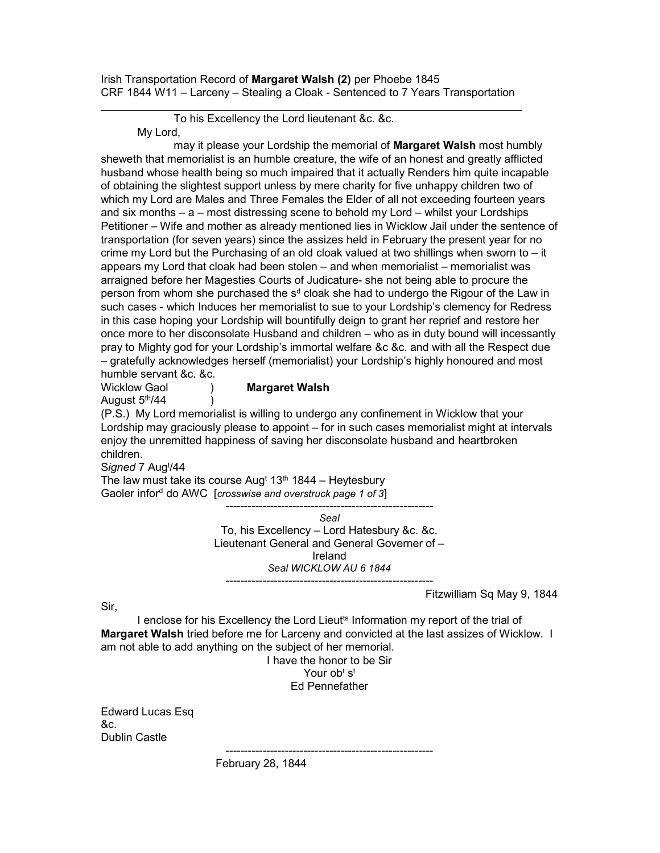Irish Transportation Record of Margaret Walsh (2) per Phoebe 1845 CRF 1844 W11 – Larceny – Stealing a Cloak - Sentenced to 7 Years Transportation

\_\_\_\_\_\_\_\_\_\_\_\_\_\_\_\_\_\_\_\_\_\_\_\_\_\_\_\_\_\_\_\_\_\_\_\_\_\_\_\_\_\_\_\_\_\_\_\_\_\_\_\_\_\_\_\_\_\_\_\_\_\_\_\_\_\_\_\_

 To his Excellency the Lord lieutenant &c. &c. My Lord,

may it please your Lordship the memorial of **Margaret Walsh** most humbly sheweth that memorialist is an humble creature, the wife of an honest and greatly afflicted husband whose health being so much impaired that it actually Renders him quite incapable of obtaining the slightest support unless by mere charity for five unhappy children two of which my Lord are Males and Three Females the Elder of all not exceeding fourteen years and six months – a – most distressing scene to behold my Lord – whilst your Lordships Petitioner – Wife and mother as already mentioned lies in Wicklow Jail under the sentence of transportation (for seven years) since the assizes held in February the present year for no crime my Lord but the Purchasing of an old cloak valued at two shillings when sworn to – it appears my Lord that cloak had been stolen – and when memorialist – memorialist was arraigned before her Magesties Courts of Judicature- she not being able to procure the person from whom she purchased the s<sup>d</sup> cloak she had to undergo the Rigour of the Law in such cases - which Induces her memorialist to sue to your Lordship's clemency for Redress in this case hoping your Lordship will bountifully deign to grant her reprief and restore her once more to her disconsolate Husband and children – who as in duty bound will incessantly pray to Mighty god for your Lordship's immortal welfare &c &c. and with all the Respect due – gratefully acknowledges herself (memorialist) your Lordship's highly honoured and most humble servant &c. &c.

Wicklow Gaol (a) Margaret Walsh August  $5<sup>th</sup>/44$  )

(P.S.) My Lord memorialist is willing to undergo any confinement in Wicklow that your Lordship may graciously please to appoint – for in such cases memorialist might at intervals enjoy the unremitted happiness of saving her disconsolate husband and heartbroken children.

Signed 7 Aug<sup>t</sup>/44

The law must take its course Aug<sup>t</sup>  $13<sup>th</sup> 1844$  – Heytesbury Gaoler infor<sup>d</sup> do AWC [crosswise and overstruck page 1 of 3]

> -------------------------------------------------------- Seal To, his Excellency – Lord Hatesbury &c. &c. Lieutenant General and General Governer of – Ireland Seal WICKLOW AU 6 1844 --------------------------------------------------------

> > Fitzwilliam Sq May 9, 1844

Sir,

I enclose for his Excellency the Lord Lieut<sup>ts</sup> Information my report of the trial of Margaret Walsh tried before me for Larceny and convicted at the last assizes of Wicklow. I am not able to add anything on the subject of her memorial.

I have the honor to be Sir Your ob<sup>t</sup> s<sup>t</sup> Ed Pennefather

--------------------------------------------------------

Edward Lucas Esq &c. Dublin Castle

February 28, 1844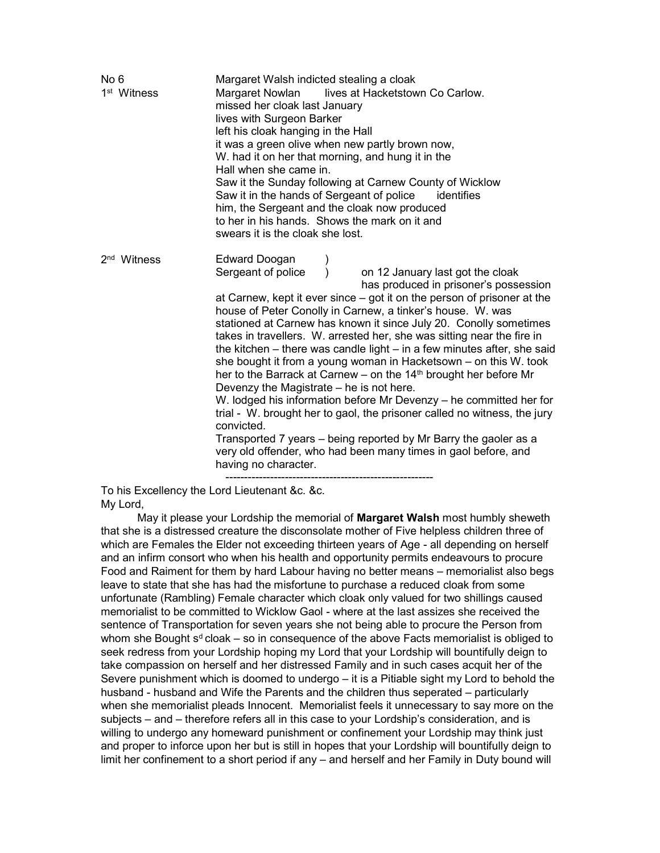| No <sub>6</sub><br>1 <sup>st</sup> Witness | Margaret Walsh indicted stealing a cloak<br>Margaret Nowlan lives at Hacketstown Co Carlow.<br>missed her cloak last January<br>lives with Surgeon Barker<br>left his cloak hanging in the Hall<br>it was a green olive when new partly brown now,<br>W. had it on her that morning, and hung it in the<br>Hall when she came in.<br>Saw it the Sunday following at Carnew County of Wicklow<br>Saw it in the hands of Sergeant of police<br>identifies<br>him, the Sergeant and the cloak now produced<br>to her in his hands. Shows the mark on it and<br>swears it is the cloak she lost.                                                                                                                                                                                                                                                                                                                                                                                                                          |
|--------------------------------------------|-----------------------------------------------------------------------------------------------------------------------------------------------------------------------------------------------------------------------------------------------------------------------------------------------------------------------------------------------------------------------------------------------------------------------------------------------------------------------------------------------------------------------------------------------------------------------------------------------------------------------------------------------------------------------------------------------------------------------------------------------------------------------------------------------------------------------------------------------------------------------------------------------------------------------------------------------------------------------------------------------------------------------|
| 2 <sup>nd</sup> Witness                    | Edward Doogan<br>on 12 January last got the cloak<br>Sergeant of police<br>has produced in prisoner's possession<br>at Carnew, kept it ever since – got it on the person of prisoner at the<br>house of Peter Conolly in Carnew, a tinker's house. W. was<br>stationed at Carnew has known it since July 20. Conolly sometimes<br>takes in travellers. W. arrested her, she was sitting near the fire in<br>the kitchen $-$ there was candle light $-$ in a few minutes after, she said<br>she bought it from a young woman in Hacketsown – on this W. took<br>her to the Barrack at Carnew – on the 14 <sup>th</sup> brought her before Mr<br>Devenzy the Magistrate – he is not here.<br>W. lodged his information before Mr Devenzy - he committed her for<br>trial - W. brought her to gaol, the prisoner called no witness, the jury<br>convicted.<br>Transported 7 years – being reported by Mr Barry the gaoler as a<br>very old offender, who had been many times in gaol before, and<br>having no character. |

To his Excellency the Lord Lieutenant &c. &c. My Lord,

May it please your Lordship the memorial of Margaret Walsh most humbly sheweth that she is a distressed creature the disconsolate mother of Five helpless children three of which are Females the Elder not exceeding thirteen years of Age - all depending on herself and an infirm consort who when his health and opportunity permits endeavours to procure Food and Raiment for them by hard Labour having no better means – memorialist also begs leave to state that she has had the misfortune to purchase a reduced cloak from some unfortunate (Rambling) Female character which cloak only valued for two shillings caused memorialist to be committed to Wicklow Gaol - where at the last assizes she received the sentence of Transportation for seven years she not being able to procure the Person from whom she Bought  $s<sup>d</sup>$  cloak – so in consequence of the above Facts memorialist is obliged to seek redress from your Lordship hoping my Lord that your Lordship will bountifully deign to take compassion on herself and her distressed Family and in such cases acquit her of the Severe punishment which is doomed to undergo – it is a Pitiable sight my Lord to behold the husband - husband and Wife the Parents and the children thus seperated – particularly when she memorialist pleads Innocent. Memorialist feels it unnecessary to say more on the subjects – and – therefore refers all in this case to your Lordship's consideration, and is willing to undergo any homeward punishment or confinement your Lordship may think just and proper to inforce upon her but is still in hopes that your Lordship will bountifully deign to limit her confinement to a short period if any – and herself and her Family in Duty bound will